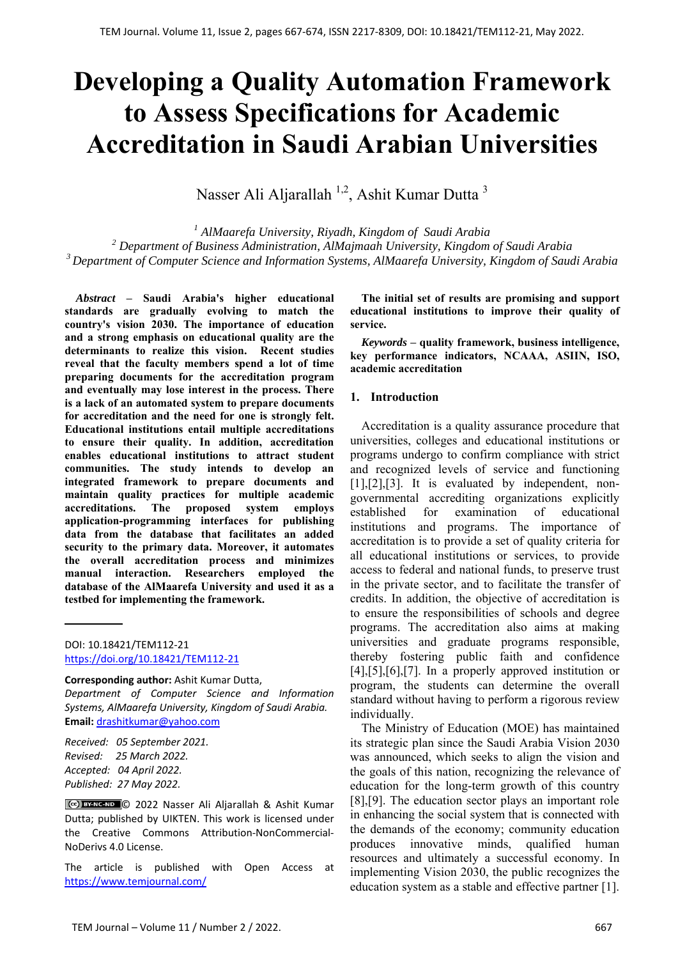# **Developing a Quality Automation Framework to Assess Specifications for Academic Accreditation in Saudi Arabian Universities**

Nasser Ali Aljarallah <sup>1,2</sup>, Ashit Kumar Dutta <sup>3</sup>

*1 AlMaarefa University, Riyadh, Kingdom of Saudi Arabia 2 Department of Business Administration, AlMajmaah University, Kingdom of Saudi Arabia 3 Department of Computer Science and Information Systems, AlMaarefa University, Kingdom of Saudi Arabia* 

*Abstract* **– Saudi Arabia's higher educational standards are gradually evolving to match the country's vision 2030. The importance of education and a strong emphasis on educational quality are the determinants to realize this vision. Recent studies reveal that the faculty members spend a lot of time preparing documents for the accreditation program and eventually may lose interest in the process. There is a lack of an automated system to prepare documents for accreditation and the need for one is strongly felt. Educational institutions entail multiple accreditations to ensure their quality. In addition, accreditation enables educational institutions to attract student communities. The study intends to develop an integrated framework to prepare documents and maintain quality practices for multiple academic accreditations. The proposed system employs application-programming interfaces for publishing data from the database that facilitates an added security to the primary data. Moreover, it automates the overall accreditation process and minimizes manual interaction. Researchers employed the database of the AlMaarefa University and used it as a testbed for implementing the framework.** 

**Corresponding author:** Ashit Kumar Dutta, *Department of Computer Science and Information Systems, AlMaarefa University, Kingdom of Saudi Arabia.*  **Email:** drashitkumar@yahoo.com

*Received: 05 September 2021. Revised: 25 March 2022. Accepted: 04 April 2022. Published: 27 May 2022.* 

© 2022 Nasser Ali Aljarallah & Ashit Kumar Dutta; published by UIKTEN. This work is licensed under the Creative Commons Attribution‐NonCommercial‐ NoDerivs 4.0 License.

The article is published with Open Access at https://www.temjournal.com/

**The initial set of results are promising and support educational institutions to improve their quality of service.** 

*Keywords* **– quality framework, business intelligence, key performance indicators, NCAAA, ASIIN, ISO, academic accreditation** 

## **1. Introduction**

Accreditation is a quality assurance procedure that universities, colleges and educational institutions or programs undergo to confirm compliance with strict and recognized levels of service and functioning  $[1]$ , $[2]$ , $[3]$ . It is evaluated by independent, nongovernmental accrediting organizations explicitly established for examination of educational institutions and programs. The importance of accreditation is to provide a set of quality criteria for all educational institutions or services, to provide access to federal and national funds, to preserve trust in the private sector, and to facilitate the transfer of credits. In addition, the objective of accreditation is to ensure the responsibilities of schools and degree programs. The accreditation also aims at making universities and graduate programs responsible, thereby fostering public faith and confidence  $[4]$ , $[5]$ , $[6]$ , $[7]$ . In a properly approved institution or program, the students can determine the overall standard without having to perform a rigorous review individually.

The Ministry of Education (MOE) has maintained its strategic plan since the Saudi Arabia Vision 2030 was announced, which seeks to align the vision and the goals of this nation, recognizing the relevance of education for the long-term growth of this country [8],[9]. The education sector plays an important role in enhancing the social system that is connected with the demands of the economy; community education produces innovative minds, qualified human resources and ultimately a successful economy. In implementing Vision 2030, the public recognizes the education system as a stable and effective partner [1].

DOI: 10.18421/TEM112-21 [https://doi.org/10.18421/TEM112](https://doi.org/10.18421/TEM112-21)-21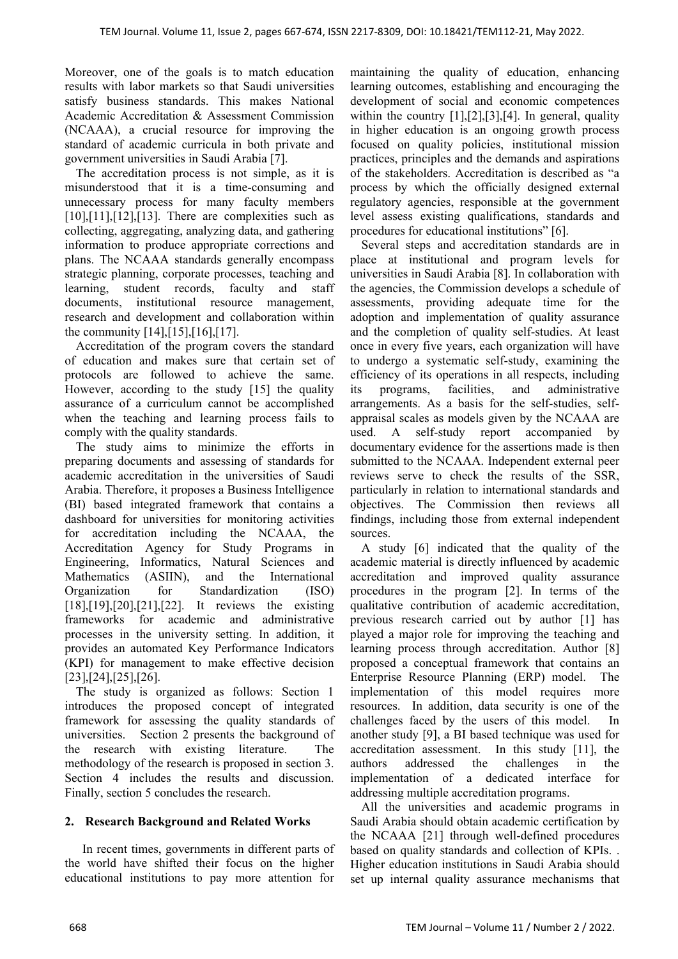Moreover, one of the goals is to match education results with labor markets so that Saudi universities satisfy business standards. This makes National Academic Accreditation & Assessment Commission (NCAAA), a crucial resource for improving the standard of academic curricula in both private and government universities in Saudi Arabia [7].

The accreditation process is not simple, as it is misunderstood that it is a time-consuming and unnecessary process for many faculty members  $[10], [11], [12], [13]$ . There are complexities such as collecting, aggregating, analyzing data, and gathering information to produce appropriate corrections and plans. The NCAAA standards generally encompass strategic planning, corporate processes, teaching and learning, student records, faculty and staff documents, institutional resource management, research and development and collaboration within the community [14],[15],[16],[17].

Accreditation of the program covers the standard of education and makes sure that certain set of protocols are followed to achieve the same. However, according to the study [15] the quality assurance of a curriculum cannot be accomplished when the teaching and learning process fails to comply with the quality standards.

The study aims to minimize the efforts in preparing documents and assessing of standards for academic accreditation in the universities of Saudi Arabia. Therefore, it proposes a Business Intelligence (BI) based integrated framework that contains a dashboard for universities for monitoring activities for accreditation including the NCAAA, the Accreditation Agency for Study Programs in Engineering, Informatics, Natural Sciences and Mathematics (ASIIN), and the International Organization for Standardization (ISO) [18],[19],[20],[21],[22]. It reviews the existing frameworks for academic and administrative processes in the university setting. In addition, it provides an automated Key Performance Indicators (KPI) for management to make effective decision [23],[24],[25],[26].

The study is organized as follows: Section 1 introduces the proposed concept of integrated framework for assessing the quality standards of universities. Section 2 presents the background of the research with existing literature. The methodology of the research is proposed in section 3. Section 4 includes the results and discussion. Finally, section 5 concludes the research.

## **2. Research Background and Related Works**

 In recent times, governments in different parts of the world have shifted their focus on the higher educational institutions to pay more attention for

maintaining the quality of education, enhancing learning outcomes, establishing and encouraging the development of social and economic competences within the country  $[1],[2],[3],[4]$ . In general, quality in higher education is an ongoing growth process focused on quality policies, institutional mission practices, principles and the demands and aspirations of the stakeholders. Accreditation is described as "a process by which the officially designed external regulatory agencies, responsible at the government level assess existing qualifications, standards and procedures for educational institutions" [6].

Several steps and accreditation standards are in place at institutional and program levels for universities in Saudi Arabia [8]. In collaboration with the agencies, the Commission develops a schedule of assessments, providing adequate time for the adoption and implementation of quality assurance and the completion of quality self-studies. At least once in every five years, each organization will have to undergo a systematic self-study, examining the efficiency of its operations in all respects, including its programs, facilities, and administrative arrangements. As a basis for the self-studies, selfappraisal scales as models given by the NCAAA are used. A self-study report accompanied by documentary evidence for the assertions made is then submitted to the NCAAA. Independent external peer reviews serve to check the results of the SSR, particularly in relation to international standards and objectives. The Commission then reviews all findings, including those from external independent sources.

A study [6] indicated that the quality of the academic material is directly influenced by academic accreditation and improved quality assurance procedures in the program [2]. In terms of the qualitative contribution of academic accreditation, previous research carried out by author [1] has played a major role for improving the teaching and learning process through accreditation. Author [8] proposed a conceptual framework that contains an Enterprise Resource Planning (ERP) model. The implementation of this model requires more resources. In addition, data security is one of the challenges faced by the users of this model. In another study [9], a BI based technique was used for accreditation assessment. In this study [11], the authors addressed the challenges in the implementation of a dedicated interface for addressing multiple accreditation programs.

All the universities and academic programs in Saudi Arabia should obtain academic certification by the NCAAA [21] through well-defined procedures based on quality standards and collection of KPIs. . Higher education institutions in Saudi Arabia should set up internal quality assurance mechanisms that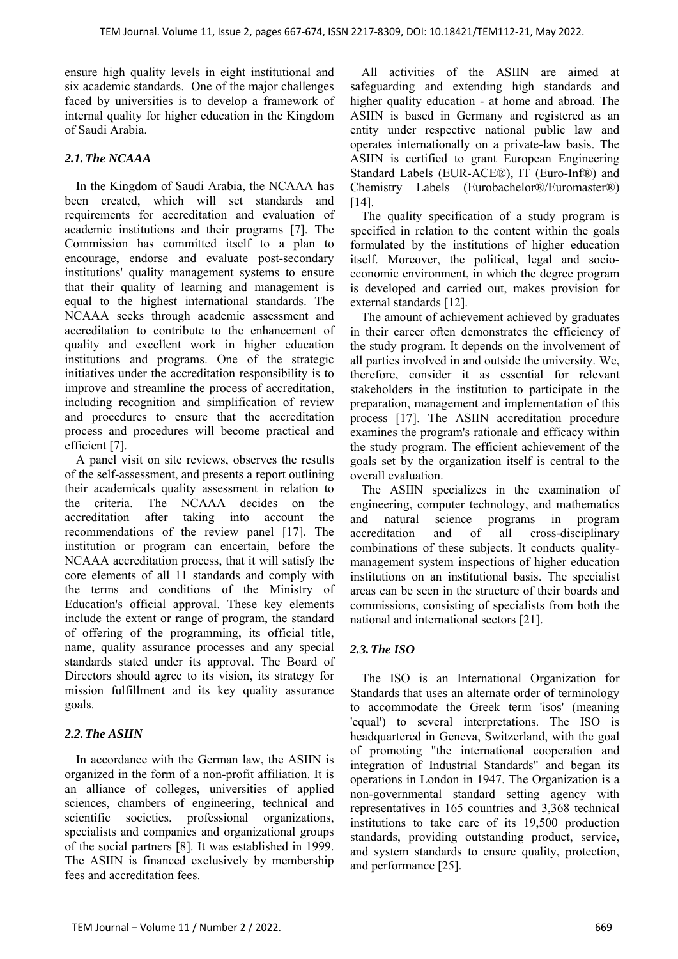ensure high quality levels in eight institutional and six academic standards. One of the major challenges faced by universities is to develop a framework of internal quality for higher education in the Kingdom of Saudi Arabia.

## *2.1.The NCAAA*

In the Kingdom of Saudi Arabia, the NCAAA has been created, which will set standards and requirements for accreditation and evaluation of academic institutions and their programs [7]. The Commission has committed itself to a plan to encourage, endorse and evaluate post-secondary institutions' quality management systems to ensure that their quality of learning and management is equal to the highest international standards. The NCAAA seeks through academic assessment and accreditation to contribute to the enhancement of quality and excellent work in higher education institutions and programs. One of the strategic initiatives under the accreditation responsibility is to improve and streamline the process of accreditation, including recognition and simplification of review and procedures to ensure that the accreditation process and procedures will become practical and efficient [7].

A panel visit on site reviews, observes the results of the self-assessment, and presents a report outlining their academicals quality assessment in relation to the criteria. The NCAAA decides on the accreditation after taking into account the recommendations of the review panel [17]. The institution or program can encertain, before the NCAAA accreditation process, that it will satisfy the core elements of all 11 standards and comply with the terms and conditions of the Ministry of Education's official approval. These key elements include the extent or range of program, the standard of offering of the programming, its official title, name, quality assurance processes and any special standards stated under its approval. The Board of Directors should agree to its vision, its strategy for mission fulfillment and its key quality assurance goals.

## *2.2.The ASIIN*

In accordance with the German law, the ASIIN is organized in the form of a non-profit affiliation. It is an alliance of colleges, universities of applied sciences, chambers of engineering, technical and scientific societies, professional organizations, specialists and companies and organizational groups of the social partners [8]. It was established in 1999. The ASIIN is financed exclusively by membership fees and accreditation fees.

All activities of the ASIIN are aimed at safeguarding and extending high standards and higher quality education - at home and abroad. The ASIIN is based in Germany and registered as an entity under respective national public law and operates internationally on a private-law basis. The ASIIN is certified to grant European Engineering Standard Labels (EUR-ACE®), IT (Euro-Inf®) and Chemistry Labels (Eurobachelor®/Euromaster®) [14].

The quality specification of a study program is specified in relation to the content within the goals formulated by the institutions of higher education itself. Moreover, the political, legal and socioeconomic environment, in which the degree program is developed and carried out, makes provision for external standards [12].

The amount of achievement achieved by graduates in their career often demonstrates the efficiency of the study program. It depends on the involvement of all parties involved in and outside the university. We, therefore, consider it as essential for relevant stakeholders in the institution to participate in the preparation, management and implementation of this process [17]. The ASIIN accreditation procedure examines the program's rationale and efficacy within the study program. The efficient achievement of the goals set by the organization itself is central to the overall evaluation.

The ASIIN specializes in the examination of engineering, computer technology, and mathematics and natural science programs in program accreditation and of all cross-disciplinary combinations of these subjects. It conducts qualitymanagement system inspections of higher education institutions on an institutional basis. The specialist areas can be seen in the structure of their boards and commissions, consisting of specialists from both the national and international sectors [21].

## *2.3.The ISO*

The ISO is an International Organization for Standards that uses an alternate order of terminology to accommodate the Greek term 'isos' (meaning 'equal') to several interpretations. The ISO is headquartered in Geneva, Switzerland, with the goal of promoting "the international cooperation and integration of Industrial Standards" and began its operations in London in 1947. The Organization is a non-governmental standard setting agency with representatives in 165 countries and 3,368 technical institutions to take care of its 19,500 production standards, providing outstanding product, service, and system standards to ensure quality, protection, and performance [25].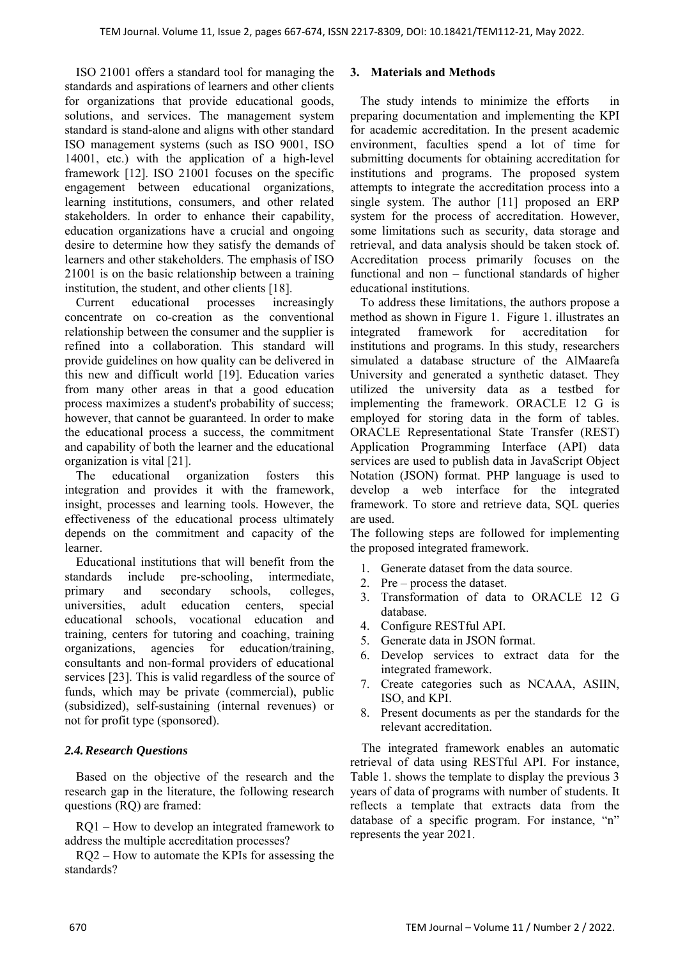ISO 21001 offers a standard tool for managing the standards and aspirations of learners and other clients for organizations that provide educational goods, solutions, and services. The management system standard is stand-alone and aligns with other standard ISO management systems (such as ISO 9001, ISO 14001, etc.) with the application of a high-level framework [12]. ISO 21001 focuses on the specific engagement between educational organizations, learning institutions, consumers, and other related stakeholders. In order to enhance their capability, education organizations have a crucial and ongoing desire to determine how they satisfy the demands of learners and other stakeholders. The emphasis of ISO 21001 is on the basic relationship between a training institution, the student, and other clients [18].

Current educational processes increasingly concentrate on co-creation as the conventional relationship between the consumer and the supplier is refined into a collaboration. This standard will provide guidelines on how quality can be delivered in this new and difficult world [19]. Education varies from many other areas in that a good education process maximizes a student's probability of success; however, that cannot be guaranteed. In order to make the educational process a success, the commitment and capability of both the learner and the educational organization is vital [21].

The educational organization fosters this integration and provides it with the framework, insight, processes and learning tools. However, the effectiveness of the educational process ultimately depends on the commitment and capacity of the learner.

Educational institutions that will benefit from the standards include pre-schooling, intermediate, primary and secondary schools, colleges, universities, adult education centers, special educational schools, vocational education and training, centers for tutoring and coaching, training organizations, agencies for education/training, consultants and non-formal providers of educational services [23]. This is valid regardless of the source of funds, which may be private (commercial), public (subsidized), self-sustaining (internal revenues) or not for profit type (sponsored).

## *2.4.Research Questions*

Based on the objective of the research and the research gap in the literature, the following research questions (RQ) are framed:

RQ1 – How to develop an integrated framework to address the multiple accreditation processes?

RQ2 – How to automate the KPIs for assessing the standards?

## **3. Materials and Methods**

The study intends to minimize the efforts in preparing documentation and implementing the KPI for academic accreditation. In the present academic environment, faculties spend a lot of time for submitting documents for obtaining accreditation for institutions and programs. The proposed system attempts to integrate the accreditation process into a single system. The author [11] proposed an ERP system for the process of accreditation. However, some limitations such as security, data storage and retrieval, and data analysis should be taken stock of. Accreditation process primarily focuses on the functional and non – functional standards of higher educational institutions.

To address these limitations, the authors propose a method as shown in Figure 1. Figure 1. illustrates an integrated framework for accreditation for institutions and programs. In this study, researchers simulated a database structure of the AlMaarefa University and generated a synthetic dataset. They utilized the university data as a testbed for implementing the framework. ORACLE 12 G is employed for storing data in the form of tables. ORACLE Representational State Transfer (REST) Application Programming Interface (API) data services are used to publish data in JavaScript Object Notation (JSON) format. PHP language is used to develop a web interface for the integrated framework. To store and retrieve data, SQL queries are used.

The following steps are followed for implementing the proposed integrated framework.

- 1. Generate dataset from the data source.
- 2. Pre process the dataset.
- 3. Transformation of data to ORACLE 12 G database.
- 4. Configure RESTful API.
- 5. Generate data in JSON format.
- 6. Develop services to extract data for the integrated framework.
- 7. Create categories such as NCAAA, ASIIN, ISO, and KPI.
- 8. Present documents as per the standards for the relevant accreditation.

The integrated framework enables an automatic retrieval of data using RESTful API. For instance, Table 1. shows the template to display the previous 3 years of data of programs with number of students. It reflects a template that extracts data from the database of a specific program. For instance, "n" represents the year 2021.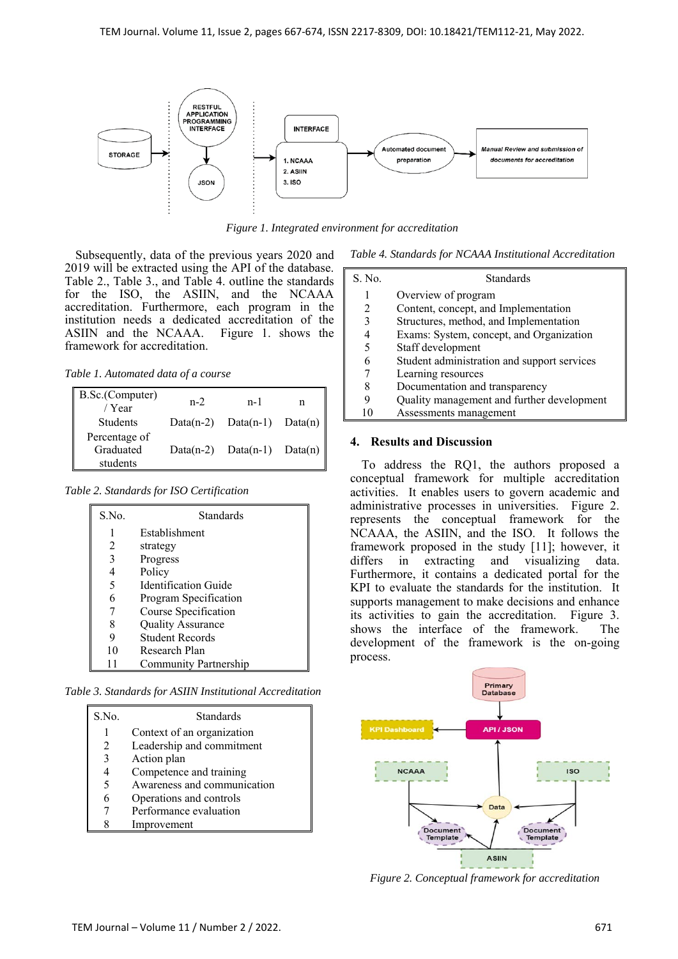

*Figure 1. Integrated environment for accreditation* 

Subsequently, data of the previous years 2020 and 2019 will be extracted using the API of the database. Table 2., Table 3., and Table 4. outline the standards for the ISO, the ASIIN, and the NCAAA accreditation. Furthermore, each program in the institution needs a dedicated accreditation of the ASIIN and the NCAAA. Figure 1. shows the framework for accreditation.

*Table 1. Automated data of a course* 

| B.Sc.(Computer)<br>/ Year              | $n-2$        | $n-1$                 | n          |
|----------------------------------------|--------------|-----------------------|------------|
| <b>Students</b>                        | Data $(n-2)$ | $Data(n-1)$           | Data $(n)$ |
| Percentage of<br>Graduated<br>students | Data $(n-2)$ | $Data(n-1)$ $Data(n)$ |            |

*Table 2. Standards for ISO Certification* 

| S.No. | Standards                |
|-------|--------------------------|
| 1     | Establishment            |
| 2     | strategy                 |
| 3     | Progress                 |
| 4     | Policy                   |
| 5     | Identification Guide     |
| 6     | Program Specification    |
| 7     | Course Specification     |
| 8     | <b>Quality Assurance</b> |
| 9     | <b>Student Records</b>   |
| 10    | Research Plan            |
| 11    | Community Partnership    |

*Table 3. Standards for ASIIN Institutional Accreditation* 

| S.No. | Standards                   |
|-------|-----------------------------|
|       | Context of an organization  |
| 2     | Leadership and commitment   |
| 3     | Action plan                 |
|       | Competence and training     |
| 5     | Awareness and communication |
|       | Operations and controls     |
|       | Performance evaluation      |
|       | Improvement                 |

*Table 4. Standards for NCAAA Institutional Accreditation* 

| S. No. | <b>Standards</b>                            |
|--------|---------------------------------------------|
|        | Overview of program                         |
|        | Content, concept, and Implementation        |
| 3      | Structures, method, and Implementation      |
|        | Exams: System, concept, and Organization    |
|        | Staff development                           |
|        | Student administration and support services |
|        | Learning resources                          |
|        | Documentation and transparency              |
|        | Quality management and further development  |
|        | Assessments management                      |
|        |                                             |

## **4. Results and Discussion**

To address the RQ1, the authors proposed a conceptual framework for multiple accreditation activities. It enables users to govern academic and administrative processes in universities. Figure 2. represents the conceptual framework for the NCAAA, the ASIIN, and the ISO. It follows the framework proposed in the study [11]; however, it differs in extracting and visualizing data. Furthermore, it contains a dedicated portal for the KPI to evaluate the standards for the institution. It supports management to make decisions and enhance its activities to gain the accreditation. Figure 3. shows the interface of the framework. The development of the framework is the on-going process.



*Figure 2. Conceptual framework for accreditation*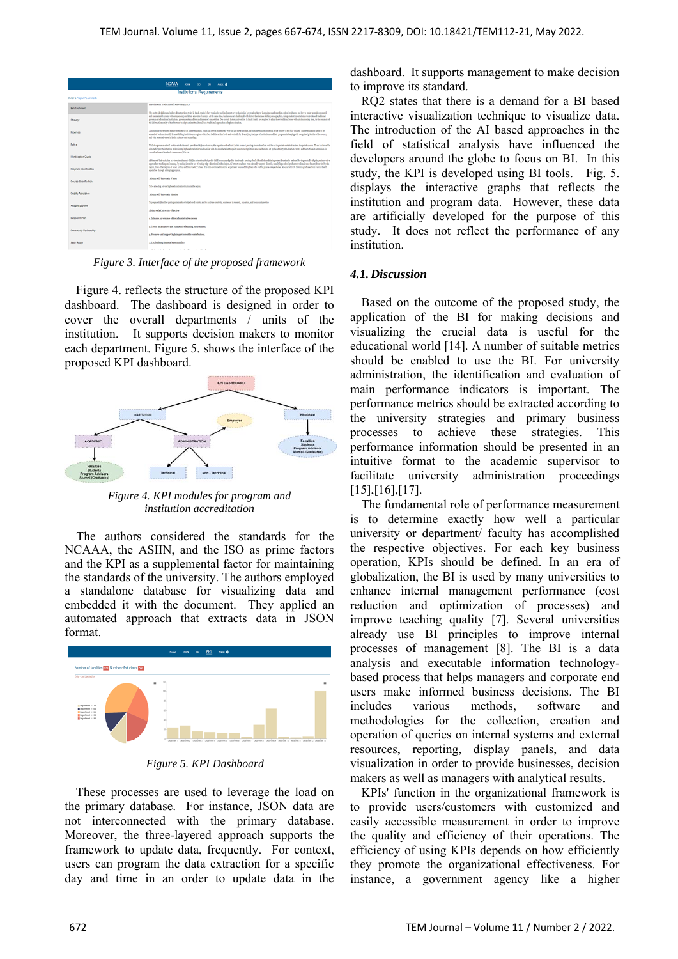|                                   | <b>NCAAA</b><br><b>ASIN</b><br>- 80<br>KPL.<br>Acex ®                                                                                                                                                                                                                                                                                                                                                                                                                                                                                                                                                                                                                                                                                                                                                                                                                                                                                                                                                                                                                                                                                                                                                                                                          |  |  |  |
|-----------------------------------|----------------------------------------------------------------------------------------------------------------------------------------------------------------------------------------------------------------------------------------------------------------------------------------------------------------------------------------------------------------------------------------------------------------------------------------------------------------------------------------------------------------------------------------------------------------------------------------------------------------------------------------------------------------------------------------------------------------------------------------------------------------------------------------------------------------------------------------------------------------------------------------------------------------------------------------------------------------------------------------------------------------------------------------------------------------------------------------------------------------------------------------------------------------------------------------------------------------------------------------------------------------|--|--|--|
| <b>Institutional Requirements</b> |                                                                                                                                                                                                                                                                                                                                                                                                                                                                                                                                                                                                                                                                                                                                                                                                                                                                                                                                                                                                                                                                                                                                                                                                                                                                |  |  |  |
| Switch to Program Requirements    |                                                                                                                                                                                                                                                                                                                                                                                                                                                                                                                                                                                                                                                                                                                                                                                                                                                                                                                                                                                                                                                                                                                                                                                                                                                                |  |  |  |
| Establishment                     | Introduction to AlMaureefa University (AU)<br>The nulti-sided dilemma higher education faces today in fissed Arabia is how to plan for and implement new technologies how to absorb over increasing number of high school graduates, and how to train, upgrade personnel,                                                                                                                                                                                                                                                                                                                                                                                                                                                                                                                                                                                                                                                                                                                                                                                                                                                                                                                                                                                      |  |  |  |
| Strategy                          | and makesia old expens without speeding excelsivel amounts of money, it the same time, institutions are clasivened with factors that locks that be ballion democration, of one student expectations, everywhered traditional<br>government educational institutions, government mandates, and increased competition. Due to such factors; universities in Saudi Arabia are required to adapt their traditional roles, vithout alundating them, to the demands<br>the information society of the future or to adopt a mix of traditional loop-traditional approaches to higher education.                                                                                                                                                                                                                                                                                                                                                                                                                                                                                                                                                                                                                                                                       |  |  |  |
| Progress                          | Alloyal: the government has invested beenly in higher education, which has grown impressively over the last time dender, the burnan receives potential of the country's not fally trilined. Higher education meets to be<br>expedial, both hardcounally by embibiling institutions in regions which lack facilities at this level, and vertically by diversibing the types of institutions and their programs in lawping with recognized priorities of the<br>and with recent advances in health sciences and technology.                                                                                                                                                                                                                                                                                                                                                                                                                                                                                                                                                                                                                                                                                                                                      |  |  |  |
| Policy                            | While the government will continue to be the main provider of higher education, the urgent meel for fixed Ambia to meet pressing demands calls as well for an important contribution from the private sector. There is a favor<br>dings for private inhighters in developing higher education in Sandi Arabia, with the consideration to quality assurance regulations and mediations set by the Ministry of Education (COC) and the National Commission for<br>terrelitation and Academic Assessment (NCAAA).<br>All taxweb University is a private emblishment of higher education, designed to fulfill a recognized public function, by meeting clearly identified needs in important dismalcs for national development. By adopting an innov<br>approach to teaching and learning, by making intensive use of cutting edge educational technologies. AU attrests produce from a broadly termedy elimenth, namely high school graduates forth make and broads) from the Rivadh<br>region, from other regions of Seals Andrá, and from the GCC states. It is also envisioned to attract experience in and desighters who wish to pursue endure studies. Also, AC attracts Digitoral graduates from various health<br>specialties through a bridging program. |  |  |  |
| Identification Guide              |                                                                                                                                                                                                                                                                                                                                                                                                                                                                                                                                                                                                                                                                                                                                                                                                                                                                                                                                                                                                                                                                                                                                                                                                                                                                |  |  |  |
| Program Specification             |                                                                                                                                                                                                                                                                                                                                                                                                                                                                                                                                                                                                                                                                                                                                                                                                                                                                                                                                                                                                                                                                                                                                                                                                                                                                |  |  |  |
| Course Specification              | AlMaureefa University Violon<br>To be a leading private higher education institution in the region.                                                                                                                                                                                                                                                                                                                                                                                                                                                                                                                                                                                                                                                                                                                                                                                                                                                                                                                                                                                                                                                                                                                                                            |  |  |  |
| Quality Assurance                 | AlMazowela University Mission                                                                                                                                                                                                                                                                                                                                                                                                                                                                                                                                                                                                                                                                                                                                                                                                                                                                                                                                                                                                                                                                                                                                                                                                                                  |  |  |  |
| <b>Shaderd Records</b>            | To prepare high-miller participants in a knowledge based society, and to motivate continuity, enrollence in research, education, and community services                                                                                                                                                                                                                                                                                                                                                                                                                                                                                                                                                                                                                                                                                                                                                                                                                                                                                                                                                                                                                                                                                                        |  |  |  |
| Research Plan                     | AlMagnet's University Objective<br>s. Enhance governance of the administrative system                                                                                                                                                                                                                                                                                                                                                                                                                                                                                                                                                                                                                                                                                                                                                                                                                                                                                                                                                                                                                                                                                                                                                                          |  |  |  |
| Community Partnership             | a. Create an attractive and competitive learning environment.                                                                                                                                                                                                                                                                                                                                                                                                                                                                                                                                                                                                                                                                                                                                                                                                                                                                                                                                                                                                                                                                                                                                                                                                  |  |  |  |
| Self - Study                      | 5. Promote and support high impact scientific contributions.<br>a. Establishing financial systainability                                                                                                                                                                                                                                                                                                                                                                                                                                                                                                                                                                                                                                                                                                                                                                                                                                                                                                                                                                                                                                                                                                                                                       |  |  |  |
|                                   | .                                                                                                                                                                                                                                                                                                                                                                                                                                                                                                                                                                                                                                                                                                                                                                                                                                                                                                                                                                                                                                                                                                                                                                                                                                                              |  |  |  |

*Figure 3. Interface of the proposed framework* 

Figure 4. reflects the structure of the proposed KPI dashboard. The dashboard is designed in order to cover the overall departments / units of the institution. It supports decision makers to monitor each department. Figure 5. shows the interface of the proposed KPI dashboard.



*Figure 4. KPI modules for program and institution accreditation* 

The authors considered the standards for the NCAAA, the ASIIN, and the ISO as prime factors and the KPI as a supplemental factor for maintaining the standards of the university. The authors employed a standalone database for visualizing data and embedded it with the document. They applied an automated approach that extracts data in JSON format.



*Figure 5. KPI Dashboard* 

These processes are used to leverage the load on the primary database. For instance, JSON data are not interconnected with the primary database. Moreover, the three-layered approach supports the framework to update data, frequently. For context, users can program the data extraction for a specific day and time in an order to update data in the dashboard. It supports management to make decision to improve its standard.

RQ2 states that there is a demand for a BI based interactive visualization technique to visualize data. The introduction of the AI based approaches in the field of statistical analysis have influenced the developers around the globe to focus on BI. In this study, the KPI is developed using BI tools. Fig. 5. displays the interactive graphs that reflects the institution and program data. However, these data are artificially developed for the purpose of this study. It does not reflect the performance of any institution.

#### *4.1.Discussion*

Based on the outcome of the proposed study, the application of the BI for making decisions and visualizing the crucial data is useful for the educational world [14]. A number of suitable metrics should be enabled to use the BI. For university administration, the identification and evaluation of main performance indicators is important. The performance metrics should be extracted according to the university strategies and primary business processes to achieve these strategies. This performance information should be presented in an intuitive format to the academic supervisor to facilitate university administration proceedings [15],[16],[17].

The fundamental role of performance measurement is to determine exactly how well a particular university or department/ faculty has accomplished the respective objectives. For each key business operation, KPIs should be defined. In an era of globalization, the BI is used by many universities to enhance internal management performance (cost reduction and optimization of processes) and improve teaching quality [7]. Several universities already use BI principles to improve internal processes of management [8]. The BI is a data analysis and executable information technologybased process that helps managers and corporate end users make informed business decisions. The BI includes various methods, software and methodologies for the collection, creation and operation of queries on internal systems and external resources, reporting, display panels, and data visualization in order to provide businesses, decision makers as well as managers with analytical results.

KPIs' function in the organizational framework is to provide users/customers with customized and easily accessible measurement in order to improve the quality and efficiency of their operations. The efficiency of using KPIs depends on how efficiently they promote the organizational effectiveness. For instance, a government agency like a higher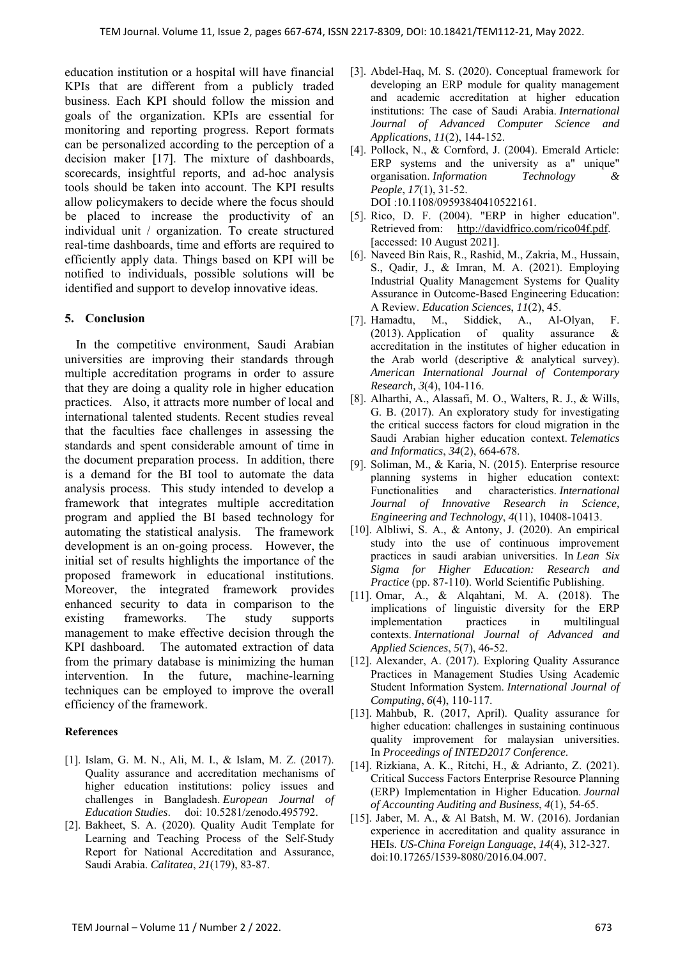education institution or a hospital will have financial KPIs that are different from a publicly traded business. Each KPI should follow the mission and goals of the organization. KPIs are essential for monitoring and reporting progress. Report formats can be personalized according to the perception of a decision maker [17]. The mixture of dashboards, scorecards, insightful reports, and ad-hoc analysis tools should be taken into account. The KPI results allow policymakers to decide where the focus should be placed to increase the productivity of an individual unit / organization. To create structured real-time dashboards, time and efforts are required to efficiently apply data. Things based on KPI will be notified to individuals, possible solutions will be identified and support to develop innovative ideas.

## **5. Conclusion**

In the competitive environment, Saudi Arabian universities are improving their standards through multiple accreditation programs in order to assure that they are doing a quality role in higher education practices. Also, it attracts more number of local and international talented students. Recent studies reveal that the faculties face challenges in assessing the standards and spent considerable amount of time in the document preparation process. In addition, there is a demand for the BI tool to automate the data analysis process. This study intended to develop a framework that integrates multiple accreditation program and applied the BI based technology for automating the statistical analysis. The framework development is an on-going process. However, the initial set of results highlights the importance of the proposed framework in educational institutions. Moreover, the integrated framework provides enhanced security to data in comparison to the existing frameworks. The study supports management to make effective decision through the KPI dashboard. The automated extraction of data from the primary database is minimizing the human intervention. In the future, machine-learning techniques can be employed to improve the overall efficiency of the framework.

## **References**

- [1]. Islam, G. M. N., Ali, M. I., & Islam, M. Z. (2017). Quality assurance and accreditation mechanisms of higher education institutions: policy issues and challenges in Bangladesh. *European Journal of Education Studies*. doi: 10.5281/zenodo.495792.
- [2]. Bakheet, S. A. (2020). Quality Audit Template for Learning and Teaching Process of the Self-Study Report for National Accreditation and Assurance, Saudi Arabia. *Calitatea*, *21*(179), 83-87.
- [3]. Abdel-Haq, M. S. (2020). Conceptual framework for developing an ERP module for quality management and academic accreditation at higher education institutions: The case of Saudi Arabia. *International Journal of Advanced Computer Science and Applications*, *11*(2), 144-152.
- [4]. Pollock, N., & Cornford, J. (2004). Emerald Article: ERP systems and the university as a" unique" organisation. *Information Technology & People*, *17*(1), 31-52. DOI :10.1108/09593840410522161.
- [5]. Rico, D. F. (2004). "ERP in higher education". Retrieved from: http://davidfrico.com/rico04f.pdf. [accessed: 10 August 2021].
- [6]. Naveed Bin Rais, R., Rashid, M., Zakria, M., Hussain, S., Qadir, J., & Imran, M. A. (2021). Employing Industrial Quality Management Systems for Quality Assurance in Outcome-Based Engineering Education: A Review. *Education Sciences*, *11*(2), 45.
- [7]. Hamadtu, M., Siddiek, A., Al-Olyan, F. (2013). Application of quality assurance & accreditation in the institutes of higher education in the Arab world (descriptive & analytical survey). *American International Journal of Contemporary Research, 3*(4), 104-116.
- [8]. Alharthi, A., Alassafi, M. O., Walters, R. J., & Wills, G. B. (2017). An exploratory study for investigating the critical success factors for cloud migration in the Saudi Arabian higher education context. *Telematics and Informatics*, *34*(2), 664-678.
- [9]. Soliman, M., & Karia, N. (2015). Enterprise resource planning systems in higher education context: Functionalities and characteristics. *International Journal of Innovative Research in Science, Engineering and Technology*, *4*(11), 10408-10413.
- [10]. Albliwi, S. A., & Antony, J. (2020). An empirical study into the use of continuous improvement practices in saudi arabian universities. In *Lean Six Sigma for Higher Education: Research and Practice* (pp. 87-110). World Scientific Publishing.
- [11]. Omar, A., & Alqahtani, M. A. (2018). The implications of linguistic diversity for the ERP implementation practices in multilingual contexts. *International Journal of Advanced and Applied Sciences*, *5*(7), 46-52.
- [12]. Alexander, A. (2017). Exploring Quality Assurance Practices in Management Studies Using Academic Student Information System. *International Journal of Computing*, *6*(4), 110-117.
- [13]. Mahbub, R. (2017, April). Quality assurance for higher education: challenges in sustaining continuous quality improvement for malaysian universities. In *Proceedings of INTED2017 Conference*.
- [14]. Rizkiana, A. K., Ritchi, H., & Adrianto, Z. (2021). Critical Success Factors Enterprise Resource Planning (ERP) Implementation in Higher Education. *Journal of Accounting Auditing and Business*, *4*(1), 54-65.
- [15]. Jaber, M. A., & Al Batsh, M. W. (2016). Jordanian experience in accreditation and quality assurance in HEIs. *US-China Foreign Language*, *14*(4), 312-327. doi:10.17265/1539-8080/2016.04.007.